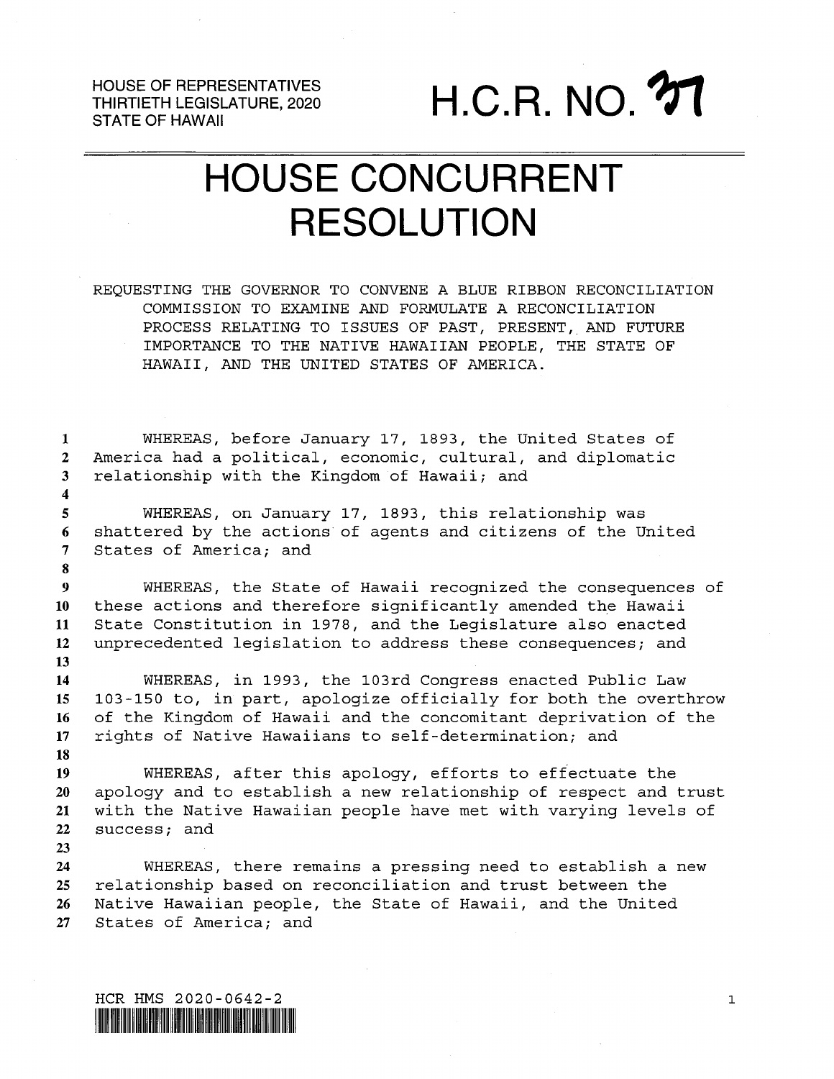HOUSE OF REPRESENTATIVES THIRTIETH LEGISLATURE, 2020

HOUSE OF REPRESENTATIVES<br>THIRTIETH LEGISLATURE, 2020<br>STATE OF HAWAII

## HOUSE CONCURRENT RESOLUTION

REQUESTING THE GOVERNOR TO CONVENE A BLUE RIBBON RECONCILIATION COMMISSION TO EXAMINE AND FORMULATE A RECONCILIATION PROCESS RELATING TO ISSUES OF PAST, PRESENT, AND FUTURE IMPORTANCE TO THE NATIVE HAWAIIAN PEOPLE, THE STATE OF HAWAII, AND THE UNITED STATES OF AMERICA.

 WHEREAS, before January 17, 1893, the United States of America had <sup>a</sup> political, economic, cultural, and diplomatic relationship with the Kingdom of Hawaii; and WHEREAS, on January 17, 1893, this relationship was shattered by the actions of agents and citizens of the United States of America; and WHEREAS, the State of Hawaii recognized the consequences of these actions and therefore significantly amended the Hawaii State Constitution in 1978, and the Legislature also enacted unprecedented legislation to address these consequences; and WHEREAS, in 1993, the 103rd Congress enacted Public Law 103-150 to, in part, apologize officially for both the overthrow of the Kingdom of Hawaii and the concomitant deprivation of the rights of Native Hawaiians to self-determination; and 

 WHEREAS, after this apology, efforts to effectuate the apology and to establish <sup>a</sup> new relationship of respect and trust with the Native Hawaiian people have met with varying levels of success; and

 WHEREAS, there remains <sup>a</sup> pressing need to establish <sup>a</sup> new relationship based on reconciliation and trust between the Native Hawaiian people, the State of Hawaii, and the United States of America; and

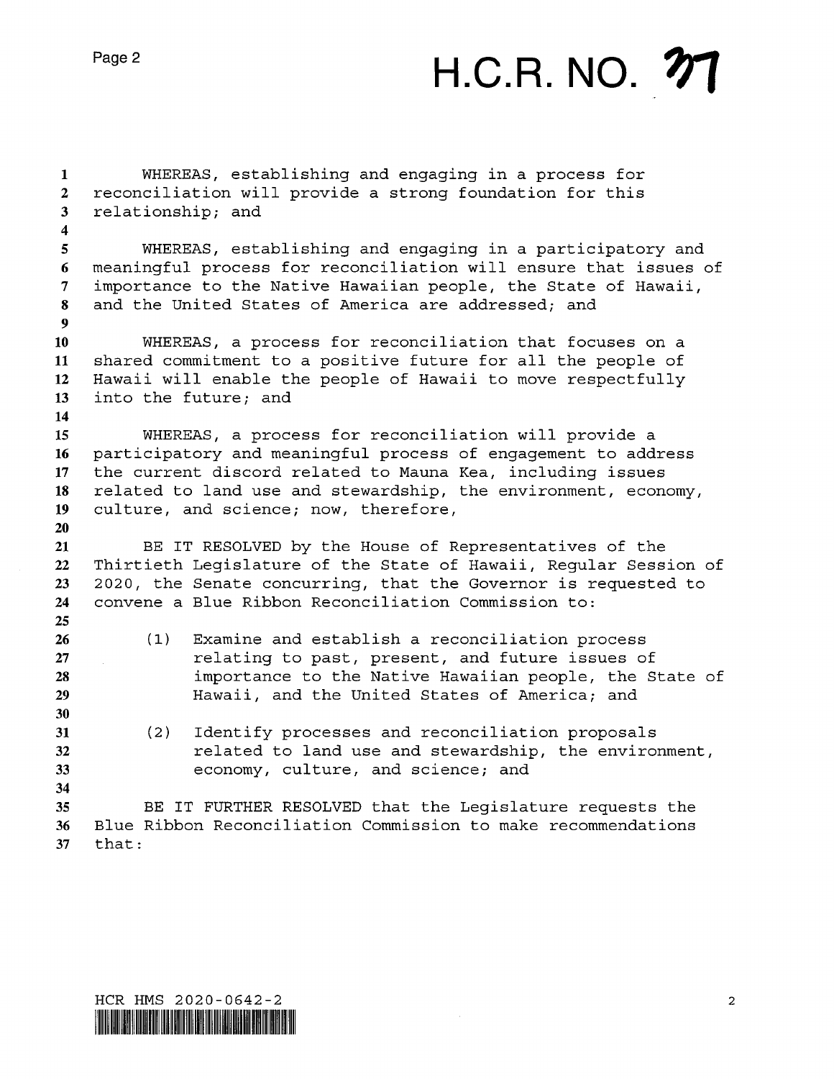## H.C.R. NO. **27**

 WHEREAS, establishing and engaging in <sup>a</sup> process for reconciliation will provide <sup>a</sup> strong foundation for this relationship; and WHEREAS, establishing and engaging in <sup>a</sup> participatory and meaningful process for reconciliation will ensure that issues of importance to the Native Hawaiian people, the State of Hawaii, and the United States of America are addressed; and WHEREAS, <sup>a</sup> process for reconciliation that focuses on <sup>a</sup> shared commitment to <sup>a</sup> positive future for all the people of Hawaii will enable the people of Hawaii to move respectfully into the future; and WHEREAS, <sup>a</sup> process for reconciliation will provide <sup>a</sup> participatory and meaningful process of engagement to address the current discord related to Mauna Kea, including issues related to land use and stewardship, the environment, economy, culture, and science; now, therefore, BE IT RESOLVED by the House of Representatives of the Thirtieth Legislature of the State of Hawaii, Regular Session of 2020, the Senate concurring, that the Governor is requested to convene <sup>a</sup> Blue Ribbon Reconciliation Commission to: (1) Examine and establish <sup>a</sup> reconciliation process relating to past, present, and future issues of importance to the Native Hawaiian people, the State of Hawaii, and the United States of America; and (2) Identify processes and reconciliation proposals related to land use and stewardship, the environment, economy, culture, and science; and BE IT FURTHER RESOLVED that the Legislature requests the Blue Ribbon Reconciliation Commission to make recommendations that:

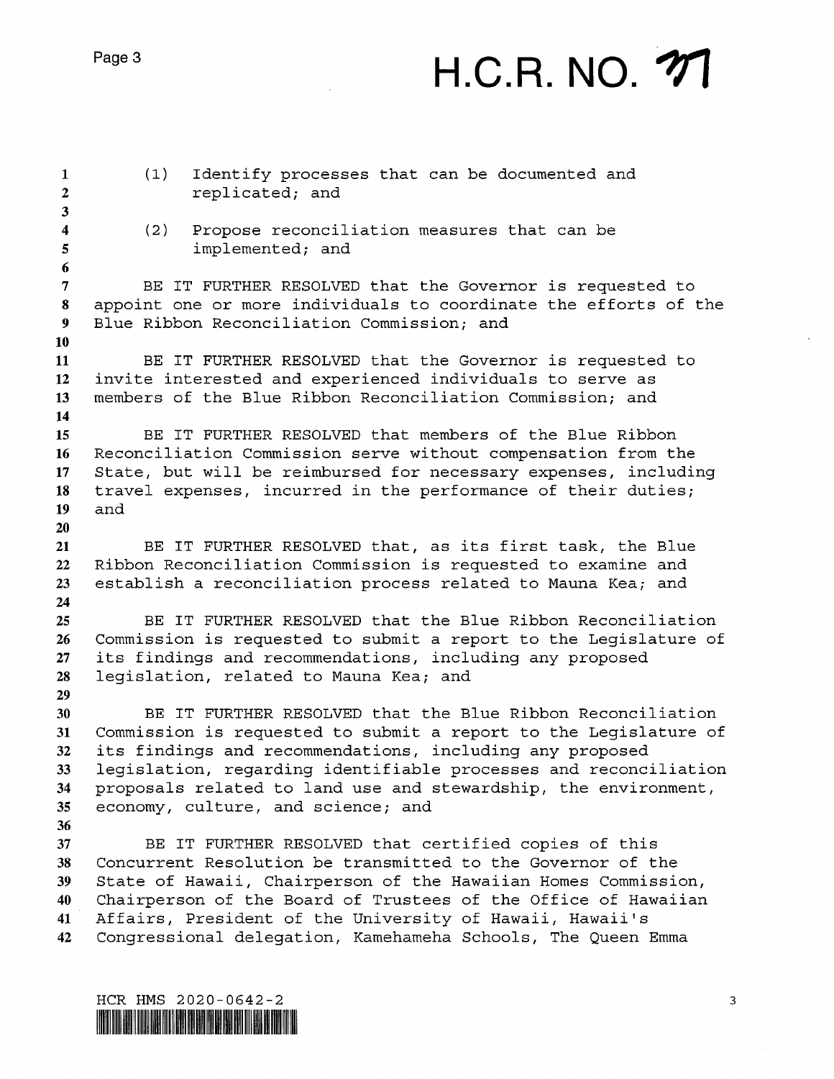Page 3

## H.C.R. NO. 77

| $\mathbf{1}$<br>$\overline{2}$<br>$\mathbf{3}$ | (1)                                                                                                                                                                                                                                                                | Identify processes that can be documented and<br>replicated; and                                                                                                                                                                                                                                                            |
|------------------------------------------------|--------------------------------------------------------------------------------------------------------------------------------------------------------------------------------------------------------------------------------------------------------------------|-----------------------------------------------------------------------------------------------------------------------------------------------------------------------------------------------------------------------------------------------------------------------------------------------------------------------------|
| $\boldsymbol{4}$<br>5<br>6                     | (2)                                                                                                                                                                                                                                                                | Propose reconciliation measures that can be<br>implemented; and                                                                                                                                                                                                                                                             |
| $\overline{7}$<br>8<br>$\overline{\mathbf{9}}$ | BE IT FURTHER RESOLVED that the Governor is requested to<br>appoint one or more individuals to coordinate the efforts of the<br>Blue Ribbon Reconciliation Commission; and                                                                                         |                                                                                                                                                                                                                                                                                                                             |
| 10<br>11<br>12<br>13                           | BE IT FURTHER RESOLVED that the Governor is requested to<br>invite interested and experienced individuals to serve as<br>members of the Blue Ribbon Reconciliation Commission; and                                                                                 |                                                                                                                                                                                                                                                                                                                             |
| 14<br>15<br>16<br>17<br>18                     | BE IT FURTHER RESOLVED that members of the Blue Ribbon<br>Reconciliation Commission serve without compensation from the<br>State, but will be reimbursed for necessary expenses, including<br>travel expenses, incurred in the performance of their duties;<br>and |                                                                                                                                                                                                                                                                                                                             |
| 19<br>20<br>21<br>22<br>23                     | BE IT FURTHER RESOLVED that, as its first task, the Blue<br>Ribbon Reconciliation Commission is requested to examine and<br>establish a reconciliation process related to Mauna Kea; and                                                                           |                                                                                                                                                                                                                                                                                                                             |
| 24<br>25<br>26<br>27<br>28                     | BE IT FURTHER RESOLVED that the Blue Ribbon Reconciliation<br>Commission is requested to submit a report to the Legislature of<br>its findings and recommendations, including any proposed<br>legislation, related to Mauna Kea; and                               |                                                                                                                                                                                                                                                                                                                             |
| 29<br>30<br>31<br>32<br>33                     |                                                                                                                                                                                                                                                                    | BE IT FURTHER RESOLVED that the Blue Ribbon Reconciliation<br>Commission is requested to submit a report to the Legislature of<br>its findings and recommendations, including any proposed<br>legislation, regarding identifiable processes and reconciliation                                                              |
| 34<br>35<br>36<br>37                           |                                                                                                                                                                                                                                                                    | proposals related to land use and stewardship, the environment,<br>economy, culture, and science; and<br>BE IT FURTHER RESOLVED that certified copies of this                                                                                                                                                               |
| 38<br>39<br>40<br>41<br>42                     |                                                                                                                                                                                                                                                                    | Concurrent Resolution be transmitted to the Governor of the<br>State of Hawaii, Chairperson of the Hawaiian Homes Commission,<br>Chairperson of the Board of Trustees of the Office of Hawaiian<br>Affairs, President of the University of Hawaii, Hawaii's<br>Congressional delegation, Kamehameha Schools, The Queen Emma |
|                                                |                                                                                                                                                                                                                                                                    |                                                                                                                                                                                                                                                                                                                             |